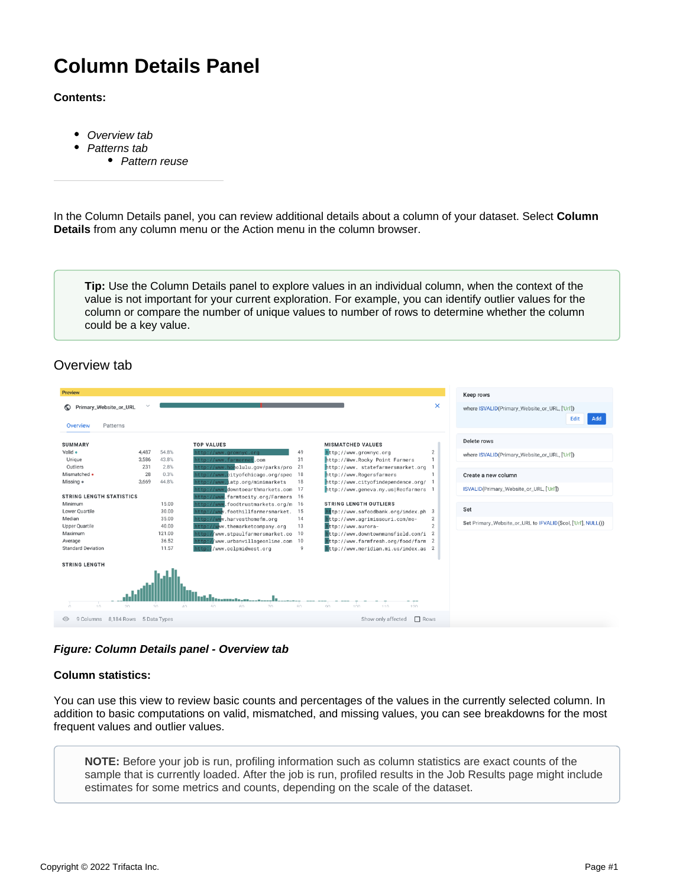# **Column Details Panel**

#### **Contents:**

- [Overview tab](#page-0-0)
- [Patterns tab](#page-1-0)
	- [Pattern reuse](#page-2-0)

In the Column Details panel, you can review additional details about a column of your dataset. Select **Column Details** from any column menu or the Action menu in the column browser.

**Tip:** Use the Column Details panel to explore values in an individual column, when the context of the value is not important for your current exploration. For example, you can identify outlier values for the column or compare the number of unique values to number of rows to determine whether the column could be a key value.

## <span id="page-0-0"></span>Overview tab

| Preview                                      |                                 |                          |                                                                                                                                     |                                                                             |                                                                                                       |                                  | <b>Keep rows</b>                                              |
|----------------------------------------------|---------------------------------|--------------------------|-------------------------------------------------------------------------------------------------------------------------------------|-----------------------------------------------------------------------------|-------------------------------------------------------------------------------------------------------|----------------------------------|---------------------------------------------------------------|
| Primary_Website_or_URL<br>⊙                  |                                 |                          |                                                                                                                                     |                                                                             |                                                                                                       | $\times$                         | where ISVALID(Primary_Website_or_URL, ['Url'])<br>Edit<br>Add |
| Patterns<br>Overview                         |                                 |                          |                                                                                                                                     |                                                                             |                                                                                                       |                                  |                                                               |
| <b>SUMMARY</b><br>Valid •                    | 4.487                           | 54.8%                    | <b>TOP VALUES</b><br>http://www.grownyc.org                                                                                         | 49                                                                          | <b>MISMATCHED VALUES</b><br>http://www.grownyc.org                                                    | $\overline{2}$                   | Delete rows                                                   |
| Unique                                       | 3,586                           | 43.8%                    | http://www.farmernet.com                                                                                                            | 31                                                                          | http://Www.Rocky Point Farmers                                                                        | $\mathbf{1}$                     | where ISVALID(Primary_Website_or_URL, ['Url'])                |
| Outliers<br>Mismatched •<br>Missing .        | 231<br>28<br>3,669              | 2.8%<br>0.3%<br>44.8%    | http://www.honolulu.gov/parks/pro<br>http://www.cityofchicago.org/spec<br>http://www.iatp.org/minimarkets                           | 21<br>-18<br>18                                                             | http://www.statefarmersmarket.org<br>http://www.Rogersfarmers<br>http://www.cityofindependence.org/ 1 |                                  | Create a new column                                           |
|                                              |                                 |                          | http://www.downtoearthmarkets.com                                                                                                   | -17                                                                         | http://www.geneva.ny.us Recfarmers 1                                                                  |                                  | ISVALID(Primary_Website_or_URL, ['Url'])                      |
| Minimum<br>Lower Ouartile                    | <b>STRING LENGTH STATISTICS</b> |                          | http://www.farmtocity.org/Farmers 16<br>15.00<br>http://www.foodtrustmarkets.org/m 16<br>30.00<br>http://www.foothillfarmersmarket. | <b>STRING LENGTH OUTLIERS</b><br>15<br>http://www.safoodbank.org/index.ph 3 |                                                                                                       | Set                              |                                                               |
| Median<br><b>Upper Quartile</b><br>Maximum   |                                 | 35.00<br>40.00<br>121.00 | http://www.harvesthomefm.org<br>http://www.themarketcompany.org<br>//www.stpaulfarmersmarket.co<br>$t$ th: $l$                      | 14<br>13<br>10                                                              | http://www.agrimissouri.com/mo-<br>http://www.aurora-<br>http://www.downtownmansfield.com/i 2         | $\overline{2}$<br>$\overline{2}$ | Set Primary_Website_or_URL to IFVALID(\$col, ['Url'], NULL()) |
| Average<br><b>Standard Deviation</b>         |                                 | 36.52<br>11.57           | /www.urbanvillageonline.com<br>//www.cclpmidwest.org                                                                                | 10<br>9                                                                     | http://www.farmfresh.org/food/farm 2<br>http://www.meridian.mi.us/index.as 2                          |                                  |                                                               |
| <b>STRING LENGTH</b><br>$10 -$<br>Ò.         | $20 -$                          | 30                       | 50<br>70<br>40<br>60                                                                                                                | 80                                                                          | 0 <sup>0</sup><br>$100 -$<br>120<br>110                                                               |                                  |                                                               |
| 9 Columns 8,184 Rows 5 Data Types<br>$\odot$ |                                 |                          |                                                                                                                                     |                                                                             | $\Box$ Rows<br>Show only affected                                                                     |                                  |                                                               |

#### **Figure: Column Details panel - Overview tab**

#### **Column statistics:**

You can use this view to review basic counts and percentages of the values in the currently selected column. In addition to basic computations on valid, mismatched, and missing values, you can see breakdowns for the most frequent values and outlier values.

**NOTE:** Before your job is run, profiling information such as column statistics are exact counts of the sample that is currently loaded. After the job is run, profiled results in the Job Results page might include estimates for some metrics and counts, depending on the scale of the dataset.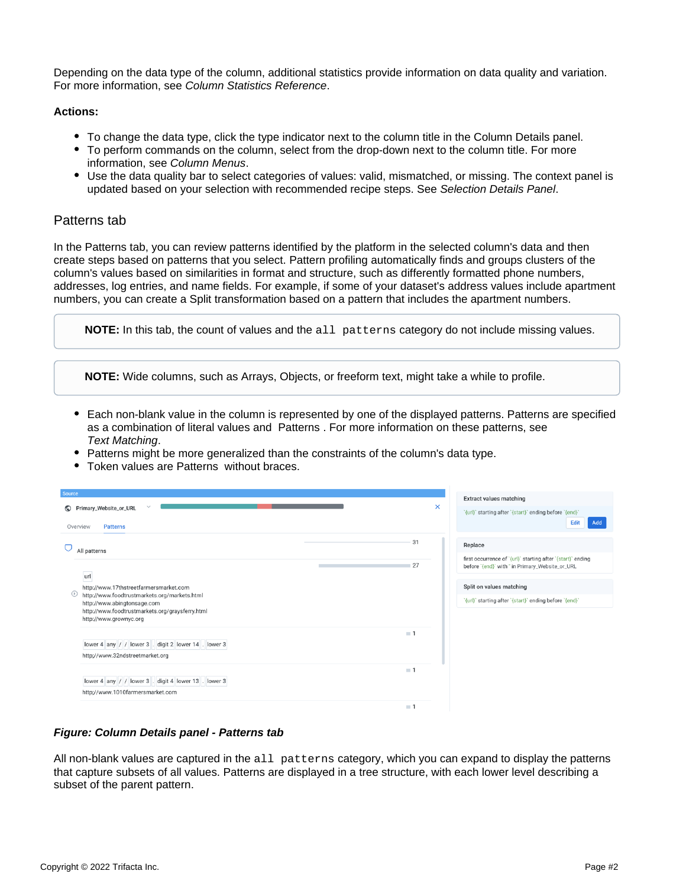Depending on the data type of the column, additional statistics provide information on data quality and variation. For more information, see [Column Statistics Reference](https://docs.trifacta.com/display/AWS/Column+Statistics+Reference).

#### **Actions:**

- To change the data type, click the type indicator next to the column title in the Column Details panel.
- To perform commands on the column, select from the drop-down next to the column title. For more information, see [Column Menus](https://docs.trifacta.com/display/AWS/Column+Menus).
- Use the data quality bar to select categories of values: valid, mismatched, or missing. The context panel is updated based on your selection with recommended recipe steps. See [Selection Details Panel](https://docs.trifacta.com/display/AWS/Selection+Details+Panel).

### <span id="page-1-0"></span>Patterns tab

In the Patterns tab, you can review patterns identified by the platform in the selected column's data and then create steps based on patterns that you select. Pattern profiling automatically finds and groups clusters of the column's values based on similarities in format and structure, such as differently formatted phone numbers, addresses, log entries, and name fields. For example, if some of your dataset's address values include apartment numbers, you can create a Split transformation based on a pattern that includes the apartment numbers.

**NOTE:** In this tab, the count of values and the all patterns category do not include missing values.

**NOTE:** Wide columns, such as Arrays, Objects, or freeform text, might take a while to profile.

- Each non-blank value in the column is represented by one of the displayed patterns. Patterns are specified as a combination of literal values and Patterns . For more information on these patterns, see [Text Matching](https://docs.trifacta.com/display/AWS/Text+Matching).
- Patterns might be more generalized than the constraints of the column's data type.
- Token values are Patterns without braces.

| <b>Source</b>                                                                                            | <b>Extract values matching</b>                                                                                       |
|----------------------------------------------------------------------------------------------------------|----------------------------------------------------------------------------------------------------------------------|
| Primary_Website_or_URL<br>⊙<br><b>Patterns</b><br>Overview                                               | ×<br>'{url}' starting after '{start}' ending before '{end}'<br>Edit<br>Add                                           |
| All patterns                                                                                             | 31<br>Replace                                                                                                        |
|                                                                                                          | first occurrence of `{url}` starting after `{start}` ending<br>27<br>before '{end}' with " in Primary_Website_or_URL |
| url<br>http://www.17thstreetfarmersmarket.com<br>$\odot$<br>http://www.foodtrustmarkets.org/markets.html | Split on values matching                                                                                             |
| http://www.abingtonsage.com<br>http://www.foodtrustmarkets.org/graysferry.html<br>http://www.grownyc.org | '{url}' starting after '{start}' ending before '{end}'                                                               |
| lower 4 any / / lower 3 . digit 2 lower 14 . lower 3                                                     | $\blacksquare$ 1                                                                                                     |
| http;//www.32ndstreetmarket.org                                                                          |                                                                                                                      |
|                                                                                                          | $= 1$                                                                                                                |
| lower 4 any / / lower 3 . digit 4 lower 13 . lower 3<br>http;//www.1010farmersmarket.com                 |                                                                                                                      |
|                                                                                                          | $= 1$                                                                                                                |

#### **Figure: Column Details panel - Patterns tab**

All non-blank values are captured in the all patterns category, which you can expand to display the patterns that capture subsets of all values. Patterns are displayed in a tree structure, with each lower level describing a subset of the parent pattern.